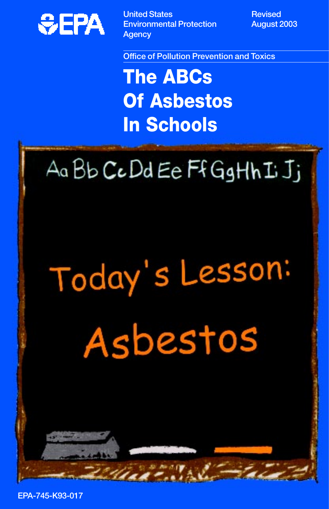

**United States All Accords** Revised **Environmental Protection August 2003 Agency** 

**Office of Pollution Prevention and Toxics** 

**The ABCs Of Asbestos In Schools** 

### Aa Bb CcDd Ee Ff GgHh I Jj

# Today's Lesson: Asbestos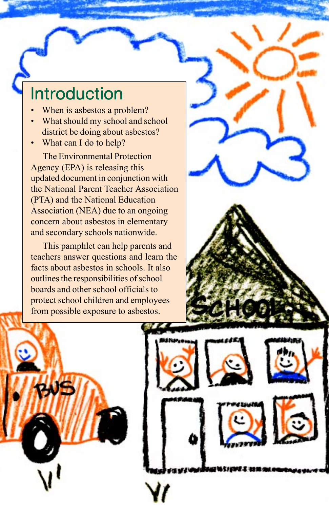#### **Introduction**

- When is asbestos a problem?
- What should my school and school district be doing about asbestos?
- What can I do to help?

The Environmental Protection Agency (EPA) is releasing this updated document in conjunction with the National Parent Teacher Association (PTA) and the National Education Association (NEA) due to an ongoing concern about asbestos in elementary and secondary schools nationwide.

This pamphlet can help parents and teachers answer questions and learn the facts about asbestos in schools. It also outlines the responsibilities of school boards and other school officials to protect school children and employees from possible exposure to asbestos.



1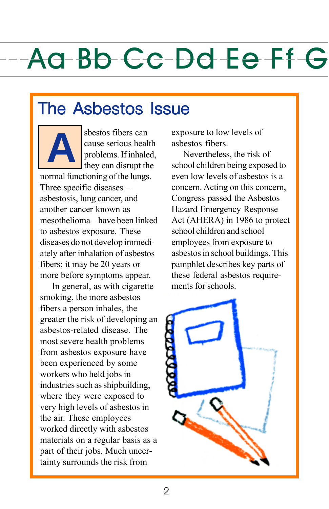#### The Asbestos Issue



sbestos fibers can cause serious health problems. If inhaled, they can disrupt the

normal functioning of the lungs. Three specific diseases – asbestosis, lung cancer, and another cancer known as mesothelioma – have been linked to asbestos exposure. These diseases do not develop immediately after inhalation of asbestos fibers; it may be 20 years or more before symptoms appear.

In general, as with cigarette smoking, the more asbestos fibers a person inhales, the greater the risk of developing an asbestos-related disease. The most severe health problems from asbestos exposure have been experienced by some workers who held jobs in industries such as shipbuilding, where they were exposed to very high levels of asbestos in the air. These employees worked directly with asbestos materials on a regular basis as a part of their jobs. Much uncertainty surrounds the risk from

exposure to low levels of asbestos fibers.

Nevertheless, the risk of school children being exposed to even low levels of asbestos is a concern. Acting on this concern, Congress passed the Asbestos Hazard Emergency Response Act (AHERA) in 1986 to protect school children and school employees from exposure to asbestos in school buildings. This pamphlet describes key parts of these federal asbestos requirements for schools.

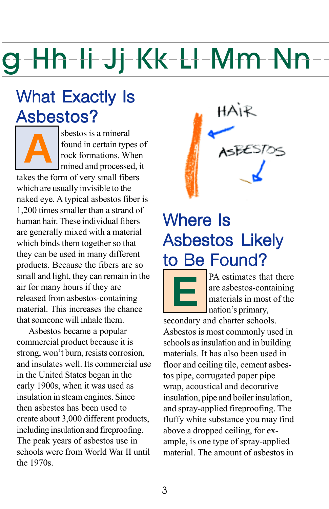#### What Exactly Is Asbestos?

sbestos is a mineral<br>found in certain type<br>rock formations. When found in certain types of rock formations. When mined and processed, it

takes the form of very small fibers which are usually invisible to the naked eye. A typical asbestos fiber is 1,200 times smaller than a strand of human hair. These individual fibers are generally mixed with a material which binds them together so that they can be used in many different products. Because the fibers are so small and light, they can remain in the air for many hours if they are released from asbestos-containing material. This increases the chance that someone will inhale them.

Asbestos became a popular commercial product because it is strong, won't burn, resists corrosion, and insulates well. Its commercial use in the United States began in the early 1900s, when it was used as insulation in steam engines. Since then asbestos has been used to create about 3,000 different products, including insulation and fireproofing. The peak years of asbestos use in schools were from World War II until the 1970s.



#### Where Is Asbestos Likely to Be Found?



**EXECUTE BY A estimates that there**<br>are asbestos-containing<br>materials in most of the<br>nation's primary, are asbestos-containing materials in most of the nation's primary,

secondary and charter schools. Asbestos is most commonly used in schools as insulation and in building materials. It has also been used in floor and ceiling tile, cement asbestos pipe, corrugated paper pipe wrap, acoustical and decorative insulation, pipe and boiler insulation, and spray-applied fireproofing. The fluffy white substance you may find above a dropped ceiling, for example, is one type of spray-applied material. The amount of asbestos in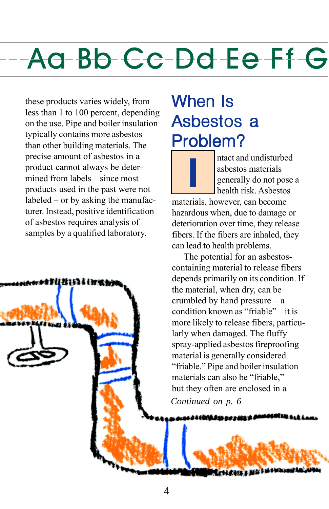these products varies widely, from less than 1 to 100 percent, depending on the use. Pipe and boiler insulation typically contains more asbestos than other building materials. The precise amount of asbestos in a product cannot always be determined from labels – since most products used in the past were not labeled – or by asking the manufacturer. Instead, positive identification of asbestos requires analysis of samples by a qualified laboratory.



#### When **Is** Asbestos a Problem?

**I I I** asbestos materials<br>generally do not pose<br>health risk. Asbestos asbestos materials generally do not pose a health risk. Asbestos

materials, however, can become hazardous when, due to damage or deterioration over time, they release fibers. If the fibers are inhaled, they can lead to health problems.

The potential for an asbestoscontaining material to release fibers depends primarily on its condition. If the material, when dry, can be crumbled by hand pressure – a condition known as "friable" – it is more likely to release fibers, particularly when damaged. The fluffy spray-applied asbestos fireproofing material is generally considered "friable." Pipe and boiler insulation materials can also be "friable," but they often are enclosed in a

*Continued on p. 6* 

a<del>tini tu co r*in*i</del>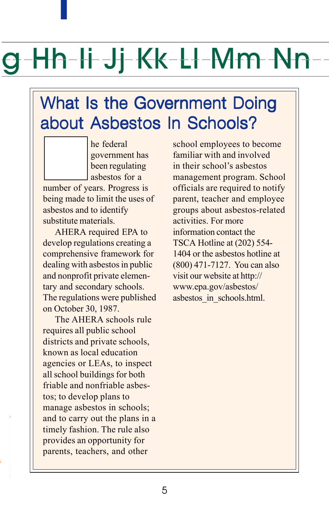### -Hh-Ii Jj-Kk-Ll-Mm Nn

#### What Is the Government Doing about Asbestos In Schools?

he federal government has been regulating asbestos for a number of years. Progress is being made to limit the uses of asbestos and to identify substitute materials.

**T** 

AHERA required EPA to develop regulations creating a comprehensive framework for dealing with asbestos in public and nonprofit private elementary and secondary schools. The regulations were published on October 30, 1987.

The AHERA schools rule requires all public school districts and private schools, known as local education agencies or LEAs, to inspect all school buildings for both friable and nonfriable asbestos; to develop plans to manage asbestos in schools; and to carry out the plans in a timely fashion. The rule also provides an opportunity for parents, teachers, and other

school employees to become familiar with and involved in their school's asbestos management program. School officials are required to notify parent, teacher and employee groups about asbestos-related activities. For more information contact the TSCA Hotline at (202) 554- 1404 or the asbestos hotline at (800) 471-7127. You can also visit our website at http:// www.epa.gov/asbestos/ asbestos\_in\_schools.html.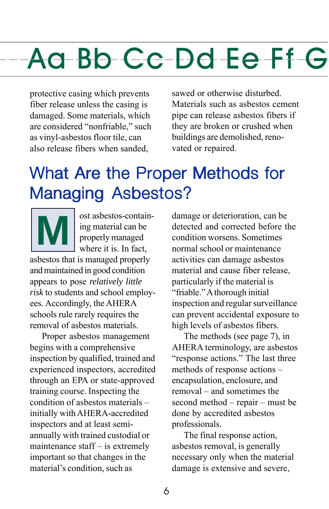protective casing which prevents fiber release unless the casing is damaged. Some materials, which are considered "nonfriable," such as vinyl-asbestos floor tile, can also release fibers when sanded,

sawed or otherwise disturbed. Materials such as asbestos cement pipe can release asbestos fibers if they are broken or crushed when buildings are demolished, renovated or repaired.

#### What Are the Proper Methods for Managing Asbestos?



**M** ost asbestos-contain-<br>ing material can be<br>properly managed<br>where it is. In fact, ing material can be properly managed where it is. In fact,

asbestos that is managed properly and maintained in good condition appears to pose *relatively little risk* to students and school employees. Accordingly, the AHERA schools rule rarely requires the removal of asbestos materials.

Proper asbestos management begins with a comprehensive inspection by qualified, trained and experienced inspectors, accredited through an EPA or state-approved training course. Inspecting the condition of asbestos materials – initially with AHERA-accredited inspectors and at least semiannually with trained custodial or maintenance staff – is extremely important so that changes in the material's condition, such as

damage or deterioration, can be detected and corrected before the condition worsens. Sometimes normal school or maintenance activities can damage asbestos material and cause fiber release, particularly if the material is "friable." A thorough initial inspection and regular surveillance can prevent accidental exposure to high levels of asbestos fibers.

The methods (see page 7), in AHERA terminology, are asbestos "response actions." The last three methods of response actions – encapsulation, enclosure, and removal – and sometimes the second method – repair – must be done by accredited asbestos professionals.

The final response action, asbestos removal, is generally necessary only when the material damage is extensive and severe,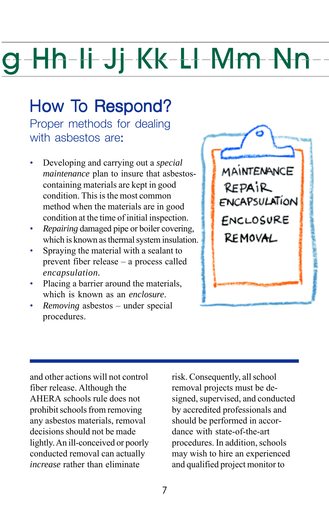#### How To Respond?

with asbestos are: Proper methods for dealing

- Developing and carrying out a *special*  containing materials are kept in good condition. This is the most common method when the materials are in good condition at the time of initial inspection. *maintenance* plan to insure that asbestos-
- *Repairing* damaged pipe or boiler covering, which is known as thermal system insulation.
- Spraying the material with a sealant to prevent fiber release – a process called *encapsulation.*
- Placing a barrier around the materials, which is known as an *enclosure*.
- *Removing* asbestos under special procedures.



and other actions will not control fiber release. Although the AHERA schools rule does not prohibit schools from removing any asbestos materials, removal decisions should not be made lightly. An ill-conceived or poorly conducted removal can actually *increase* rather than eliminate

risk. Consequently, all school removal projects must be designed, supervised, and conducted by accredited professionals and should be performed in accordance with state-of-the-art procedures. In addition, schools may wish to hire an experienced and qualified project monitor to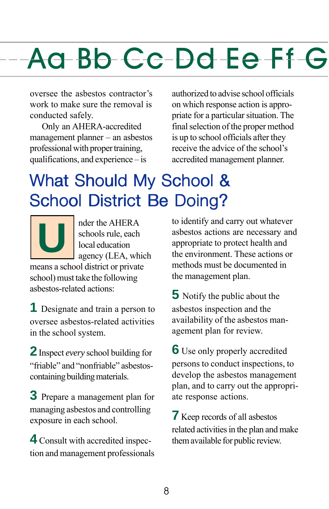oversee the asbestos contractor's work to make sure the removal is conducted safely.

Only an AHERA-accredited management planner – an asbestos professional with proper training, qualifications, and experience – is

authorized to advise school officials on which response action is appropriate for a particular situation. The final selection of the proper method is up to school officials after they receive the advice of the school's accredited management planner.

#### What Should My School & School District Be Doing?

**U** and the AHERA schools rule, each local education agency (LEA, which schools rule, each local education means a school district or private school) must take the following

asbestos-related actions:

**1** Designate and train a person to oversee asbestos-related activities in the school system.

**2** Inspect *every* school building for "friable" and "nonfriable" asbestoscontaining building materials.

**3** Prepare a management plan for managing asbestos and controlling exposure in each school.

**4** Consult with accredited inspection and management professionals to identify and carry out whatever asbestos actions are necessary and appropriate to protect health and the environment. These actions or methods must be documented in the management plan.

**5** Notify the public about the asbestos inspection and the availability of the asbestos management plan for review.

**6** Use only properly accredited persons to conduct inspections, to develop the asbestos management plan, and to carry out the appropriate response actions.

**7** Keep records of all asbestos related activities in the plan and make them available for public review.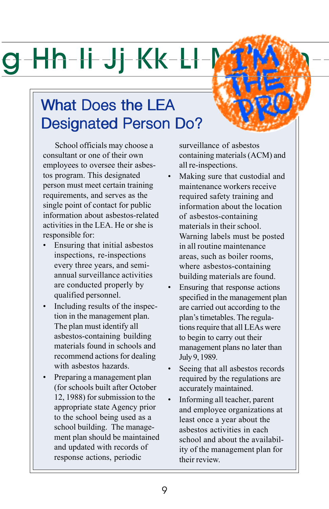## $-Hh$   $H$  Jj  $K$ k  $-$  L  $\vdash$   $\mathcal{M}$

#### What Does the LEA Designated Person Do?

School officials may choose a consultant or one of their own employees to oversee their asbestos program. This designated person must meet certain training requirements, and serves as the single point of contact for public information about asbestos-related activities in the LEA. He or she is responsible for:

- Ensuring that initial asbestos inspections, re-inspections every three years, and semiannual surveillance activities are conducted properly by qualified personnel.
- Including results of the inspection in the management plan. The plan must identify all asbestos-containing building materials found in schools and recommend actions for dealing with asbestos hazards.
- Preparing a management plan (for schools built after October 12, 1988) for submission to the appropriate state Agency prior to the school being used as a school building. The management plan should be maintained and updated with records of response actions, periodic

surveillance of asbestos containing materials (ACM) and all re-inspections.

- Making sure that custodial and maintenance workers receive required safety training and information about the location of asbestos-containing materials in their school. Warning labels must be posted in all routine maintenance areas, such as boiler rooms, where asbestos-containing building materials are found.
- Ensuring that response actions specified in the management plan are carried out according to the plan's timetables. The regulations require that all LEAs were to begin to carry out their management plans no later than July 9, 1989.
- Seeing that all asbestos records required by the regulations are accurately maintained.
- Informing all teacher, parent and employee organizations at least once a year about the asbestos activities in each school and about the availability of the management plan for their review.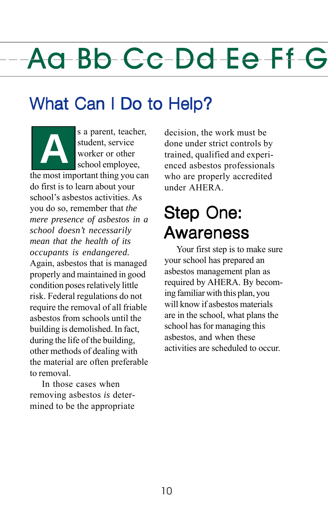#### What Can I Do to Help?

s a parent, teacher, student, service worker or other school employee,

the most important thing you can do first is to learn about your school's asbestos activities. As you do so, remember that *the mere presence of asbestos in a school doesn't necessarily mean that the health of its occupants is endangered.*  Again, asbestos that is managed properly and maintained in good condition poses relatively little risk. Federal regulations do not require the removal of all friable asbestos from schools until the building is demolished. In fact, during the life of the building, other methods of dealing with the material are often preferable to removal.

In those cases when removing asbestos *is* determined to be the appropriate

decision, the work must be done under strict controls by trained, qualified and experienced asbestos professionals who are properly accredited under AHERA.

#### Step One: Awareness Awareness

Your first step is to make sure your school has prepared an asbestos management plan as required by AHERA. By becoming familiar with this plan, you will know if asbestos materials are in the school, what plans the school has for managing this asbestos, and when these activities are scheduled to occur.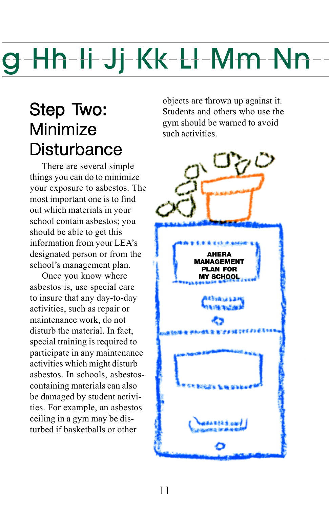#### Step Two: Minimize Disturbance

There are several simple things you can do to minimize your exposure to asbestos. The most important one is to find out which materials in your school contain asbestos; you should be able to get this information from your LEA's designated person or from the school's management plan.

Once you know where asbestos is, use special care to insure that any day-to-day activities, such as repair or maintenance work, do not disturb the material. In fact, special training is required to participate in any maintenance activities which might disturb asbestos. In schools, asbestoscontaining materials can also be damaged by student activities. For example, an asbestos ceiling in a gym may be disturbed if basketballs or other

objects are thrown up against it. Students and others who use the gym should be warned to avoid such activities.

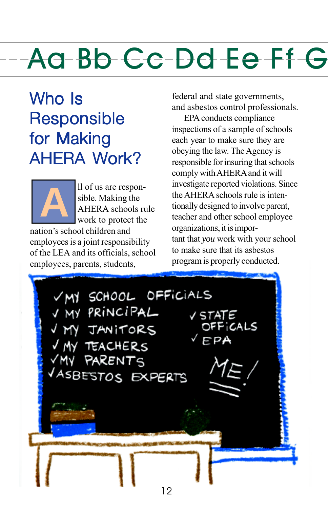#### Who Is Responsible for Making AHFRA Work?

ll of us are responsible. Making the AHERA schools rule work to protect the nation's school children and **A** 

employees is a joint responsibility of the LEA and its officials, school employees, parents, students,

federal and state governments, and asbestos control professionals.

EPA conducts compliance inspections of a sample of schools each year to make sure they are obeying the law. The Agency is responsible for insuring that schools comply with AHERA and it will investigate reported violations. Since the AHERA schools rule is intentionally designed to involve parent, teacher and other school employee organizations, it is important that *you* work with your school to make sure that its asbestos program is properly conducted.

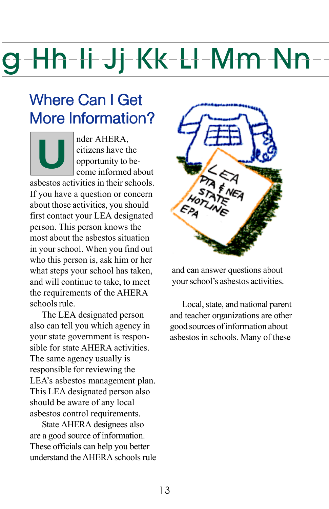#### Where Can I Get More Information?

**U** der AHERA,<br>citizens have the opportunity to be<br>come informed citizens have the opportunity to become informed about asbestos activities in their schools. If you have a question or concern about those activities, you should first contact your LEA designated person. This person knows the most about the asbestos situation in your school. When you find out who this person is, ask him or her what steps your school has taken, and will continue to take, to meet the requirements of the AHERA schools rule.

The LEA designated person also can tell you which agency in your state government is responsible for state AHERA activities. The same agency usually is responsible for reviewing the LEA's asbestos management plan. This LEA designated person also should be aware of any local asbestos control requirements.

State AHERA designees also are a good source of information. These officials can help you better understand the AHERA schools rule



and can answer questions about your school's asbestos activities.

Local, state, and national parent and teacher organizations are other good sources of information about asbestos in schools. Many of these